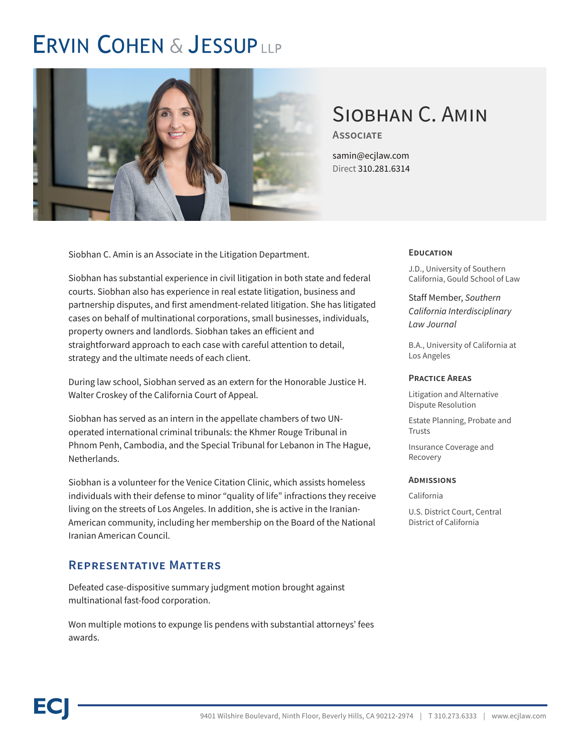# **ERVIN COHEN & JESSUP LLP**



# Siobhan C. Amin

**Associate**

samin@ecjlaw.com Direct 310.281.6314

Siobhan C. Amin is an Associate in the Litigation Department.

Siobhan has substantial experience in civil litigation in both state and federal courts. Siobhan also has experience in real estate litigation, business and partnership disputes, and first amendment-related litigation. She has litigated cases on behalf of multinational corporations, small businesses, individuals, property owners and landlords. Siobhan takes an efficient and straightforward approach to each case with careful attention to detail, strategy and the ultimate needs of each client.

During law school, Siobhan served as an extern for the Honorable Justice H. Walter Croskey of the California Court of Appeal.

Siobhan has served as an intern in the appellate chambers of two UNoperated international criminal tribunals: the Khmer Rouge Tribunal in Phnom Penh, Cambodia, and the Special Tribunal for Lebanon in The Hague, Netherlands.

Siobhan is a volunteer for the Venice Citation Clinic, which assists homeless individuals with their defense to minor "quality of life" infractions they receive living on the streets of Los Angeles. In addition, she is active in the Iranian-American community, including her membership on the Board of the National Iranian American Council.

### **Representative Matters**

Defeated case-dispositive summary judgment motion brought against multinational fast-food corporation.

Won multiple motions to expunge lis pendens with substantial attorneys' fees awards.

#### **Education**

J.D., University of Southern California, Gould School of Law

Staff Member, *Southern California Interdisciplinary Law Journal*

B.A., University of California at Los Angeles

#### **Practice Areas**

Litigation and Alternative Dispute Resolution

Estate Planning, Probate and Trusts

Insurance Coverage and Recovery

#### **Admissions**

California

U.S. District Court, Central District of California